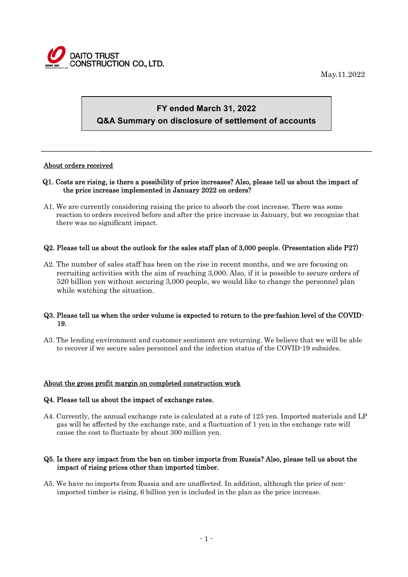

May.11.2022

# **FY ended March 31, 2022 Q&A Summary on disclosure of settlement of accounts**

## About orders received

 $\overline{a}$ 

## Q1. Costs are rising, is there a possibility of price increases? Also, please tell us about the impact of the price increase implemented in January 2022 on orders?

A1. We are currently considering raising the price to absorb the cost increase. There was some reaction to orders received before and after the price increase in January, but we recognize that there was no significant impact.

# Q2. Please tell us about the outlook for the sales staff plan of 3,000 people. (Presentation slide P27)

A2. The number of sales staff has been on the rise in recent months, and we are focusing on recruiting activities with the aim of reaching 3,000. Also, if it is possible to secure orders of 520 billion yen without securing 3,000 people, we would like to change the personnel plan while watching the situation.

## Q3. Please tell us when the order volume is expected to return to the pre-fashion level of the COVID-19.

A3. The lending environment and customer sentiment are returning. We believe that we will be able to recover if we secure sales personnel and the infection status of the COVID-19 subsides.

## About the gross profit margin on completed construction work

#### Q4. Please tell us about the impact of exchange rates.

A4. Currently, the annual exchange rate is calculated at a rate of 125 yen. Imported materials and LP gas will be affected by the exchange rate, and a fluctuation of 1 yen in the exchange rate will cause the cost to fluctuate by about 300 million yen.

#### Q5. Is there any impact from the ban on timber imports from Russia? Also, please tell us about the impact of rising prices other than imported timber.

A5. We have no imports from Russia and are unaffected. In addition, although the price of nonimported timber is rising, 6 billion yen is included in the plan as the price increase.